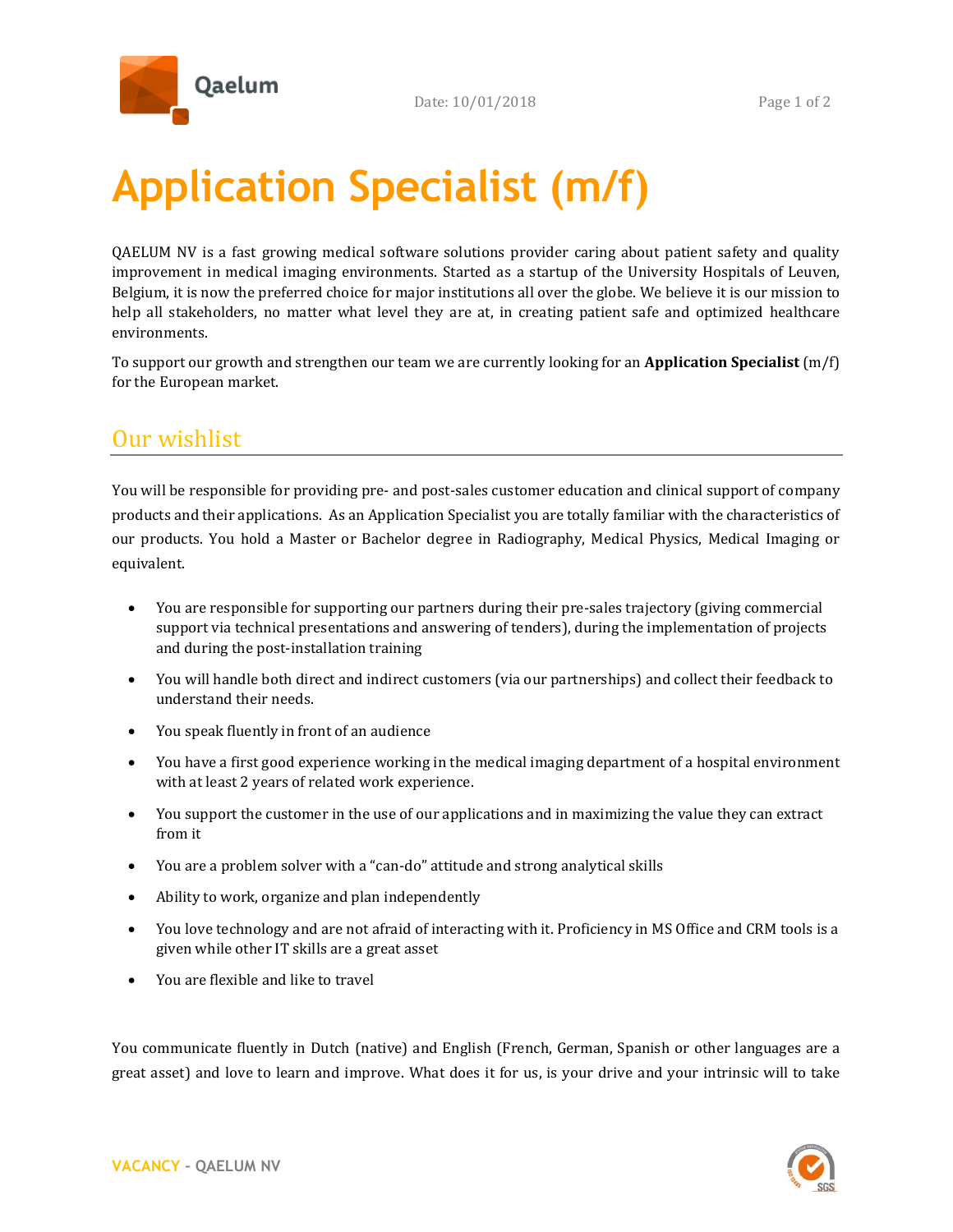

## **Application Specialist (m/f)**

QAELUM NV is a fast growing medical software solutions provider caring about patient safety and quality improvement in medical imaging environments. Started as a startup of the University Hospitals of Leuven, Belgium, it is now the preferred choice for major institutions all over the globe. We believe it is our mission to help all stakeholders, no matter what level they are at, in creating patient safe and optimized healthcare environments.

To support our growth and strengthen our team we are currently looking for an **Application Specialist** (m/f) for the European market.

## Our wishlist

You will be responsible for providing pre- and post-sales customer education and clinical support of company products and their applications. As an Application Specialist you are totally familiar with the characteristics of our products. You hold a Master or Bachelor degree in Radiography, Medical Physics, Medical Imaging or equivalent.

- You are responsible for supporting our partners during their pre-sales trajectory (giving commercial support via technical presentations and answering of tenders), during the implementation of projects and during the post-installation training
- You will handle both direct and indirect customers (via our partnerships) and collect their feedback to understand their needs.
- You speak fluently in front of an audience
- You have a first good experience working in the medical imaging department of a hospital environment with at least 2 years of related work experience.
- You support the customer in the use of our applications and in maximizing the value they can extract from it
- You are a problem solver with a "can-do" attitude and strong analytical skills
- Ability to work, organize and plan independently
- You love technology and are not afraid of interacting with it. Proficiency in MS Office and CRM tools is a given while other IT skills are a great asset
- You are flexible and like to travel

You communicate fluently in Dutch (native) and English (French, German, Spanish or other languages are a great asset) and love to learn and improve. What does it for us, is your drive and your intrinsic will to take